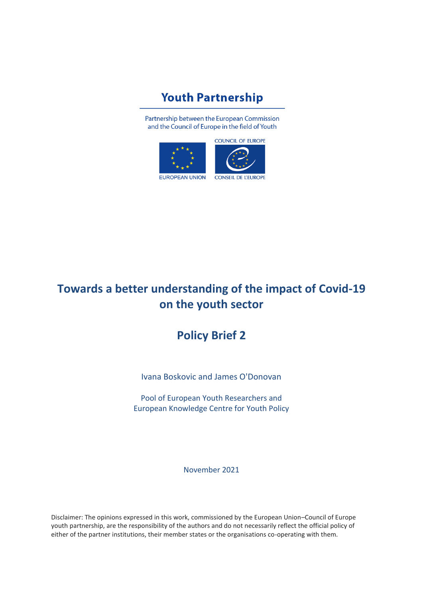# **Youth Partnership**

Partnership between the European Commission and the Council of Europe in the field of Youth





**EUROPEAN UNION** 

# **Towards a better understanding of the impact of Covid-19 on the youth sector**

# **Policy Brief 2**

Ivana Boskovic and James O'Donovan

Pool of European Youth Researchers and European Knowledge Centre for Youth Policy

November 2021

Disclaimer: The opinions expressed in this work, commissioned by the European Union–Council of Europe youth partnership, are the responsibility of the authors and do not necessarily reflect the official policy of either of the partner institutions, their member states or the organisations co-operating with them.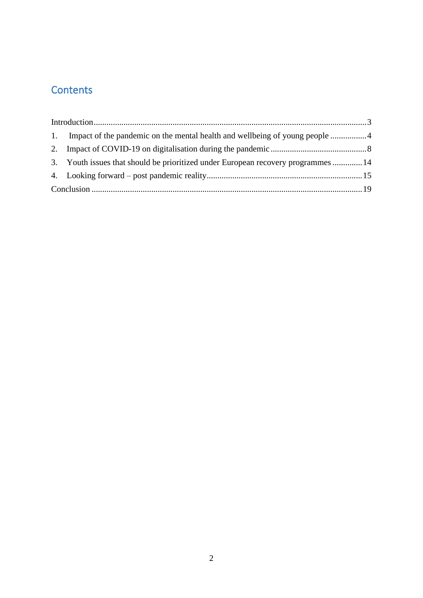# **Contents**

<span id="page-1-0"></span>

|  | 1. Impact of the pandemic on the mental health and wellbeing of young people 4    |  |
|--|-----------------------------------------------------------------------------------|--|
|  |                                                                                   |  |
|  | 3. Youth issues that should be prioritized under European recovery programmes  14 |  |
|  |                                                                                   |  |
|  |                                                                                   |  |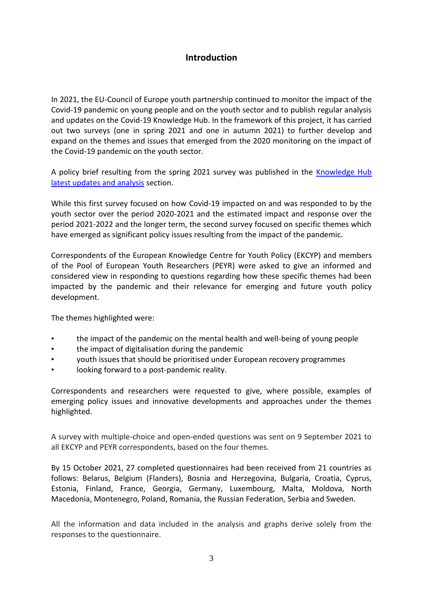## **Introduction**

In 2021, the EU-Council of Europe youth partnership continued to monitor the impact of the Covid-19 pandemic on young people and on the youth sector and to publish regular analysis and updates on the Covid-19 Knowledge Hub. In the framework of this project, it has carried out two surveys (one in spring 2021 and one in autumn 2021) to further develop and expand on the themes and issues that emerged from the 2020 monitoring on the impact of the Covid-19 pandemic on the youth sector.

A policy brief resulting from the spring 2021 survey was published in the Knowledge Hub [latest updates and analysis](https://pjp-eu.coe.int/en/web/youth-partnership/latest-update-and-analysis) section.

While this first survey focused on how Covid-19 impacted on and was responded to by the youth sector over the period 2020-2021 and the estimated impact and response over the period 2021-2022 and the longer term, the second survey focused on specific themes which have emerged as significant policy issues resulting from the impact of the pandemic.

Correspondents of the European Knowledge Centre for Youth Policy (EKCYP) and members of the Pool of European Youth Researchers (PEYR) were asked to give an informed and considered view in responding to questions regarding how these specific themes had been impacted by the pandemic and their relevance for emerging and future youth policy development.

The themes highlighted were:

- the impact of the pandemic on the mental health and well-being of young people
- the impact of digitalisation during the pandemic
- youth issues that should be prioritised under European recovery programmes
- looking forward to a post-pandemic reality.

Correspondents and researchers were requested to give, where possible, examples of emerging policy issues and innovative developments and approaches under the themes highlighted.

A survey with multiple-choice and open-ended questions was sent on 9 September 2021 to all EKCYP and PEYR correspondents, based on the four themes.

By 15 October 2021, 27 completed questionnaires had been received from 21 countries as follows: Belarus, Belgium (Flanders), Bosnia and Herzegovina, Bulgaria, Croatia, Cyprus, Estonia, Finland, France, Georgia, Germany, Luxembourg, Malta, Moldova, North Macedonia, Montenegro, Poland, Romania, the Russian Federation, Serbia and Sweden.

All the information and data included in the analysis and graphs derive solely from the responses to the questionnaire.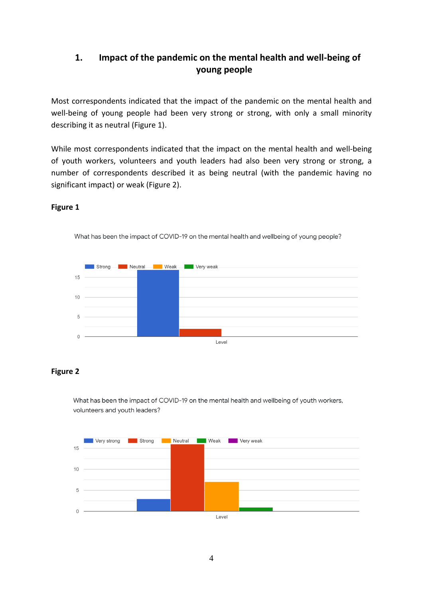## <span id="page-3-0"></span>**1. Impact of the pandemic on the mental health and well-being of young people**

Most correspondents indicated that the impact of the pandemic on the mental health and well-being of young people had been very strong or strong, with only a small minority describing it as neutral (Figure 1).

While most correspondents indicated that the impact on the mental health and well-being of youth workers, volunteers and youth leaders had also been very strong or strong, a number of correspondents described it as being neutral (with the pandemic having no significant impact) or weak (Figure 2).

# **Strong Neutral** Weak Very weak 15  $10 \overline{5}$  $0 -$ Level

What has been the impact of COVID-19 on the mental health and wellbeing of young people?

## **Figure 1**

## **Figure 2**

What has been the impact of COVID-19 on the mental health and wellbeing of youth workers, volunteers and youth leaders?

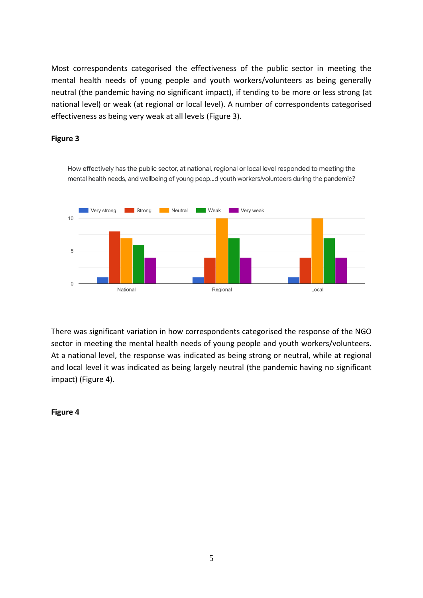Most correspondents categorised the effectiveness of the public sector in meeting the mental health needs of young people and youth workers/volunteers as being generally neutral (the pandemic having no significant impact), if tending to be more or less strong (at national level) or weak (at regional or local level). A number of correspondents categorised effectiveness as being very weak at all levels (Figure 3).

## **Figure 3**

How effectively has the public sector, at national, regional or local level responded to meeting the mental health needs, and wellbeing of young peop...d youth workers/volunteers during the pandemic?



There was significant variation in how correspondents categorised the response of the NGO sector in meeting the mental health needs of young people and youth workers/volunteers. At a national level, the response was indicated as being strong or neutral, while at regional and local level it was indicated as being largely neutral (the pandemic having no significant impact) (Figure 4).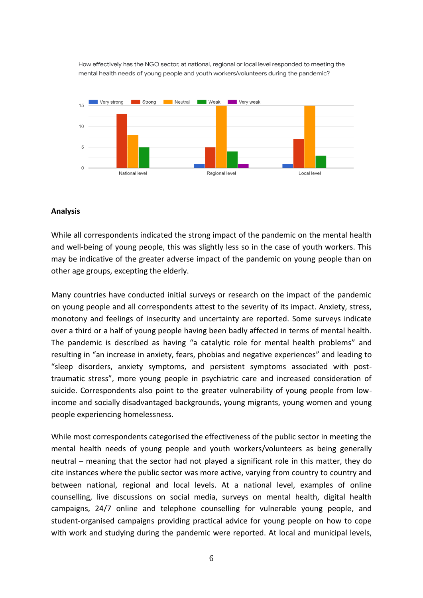How effectively has the NGO sector, at national, regional or local level responded to meeting the mental health needs of young people and youth workers/volunteers during the pandemic?



#### **Analysis**

While all correspondents indicated the strong impact of the pandemic on the mental health and well-being of young people, this was slightly less so in the case of youth workers. This may be indicative of the greater adverse impact of the pandemic on young people than on other age groups, excepting the elderly.

Many countries have conducted initial surveys or research on the impact of the pandemic on young people and all correspondents attest to the severity of its impact. Anxiety, stress, monotony and feelings of insecurity and uncertainty are reported. Some surveys indicate over a third or a half of young people having been badly affected in terms of mental health. The pandemic is described as having "a catalytic role for mental health problems" and resulting in "an increase in anxiety, fears, phobias and negative experiences" and leading to "sleep disorders, anxiety symptoms, and persistent symptoms associated with posttraumatic stress", more young people in psychiatric care and increased consideration of suicide. Correspondents also point to the greater vulnerability of young people from lowincome and socially disadvantaged backgrounds, young migrants, young women and young people experiencing homelessness.

While most correspondents categorised the effectiveness of the public sector in meeting the mental health needs of young people and youth workers/volunteers as being generally neutral – meaning that the sector had not played a significant role in this matter, they do cite instances where the public sector was more active, varying from country to country and between national, regional and local levels. At a national level, examples of online counselling, live discussions on social media, surveys on mental health, digital health campaigns, 24/7 online and telephone counselling for vulnerable young people, and student-organised campaigns providing practical advice for young people on how to cope with work and studying during the pandemic were reported. At local and municipal levels,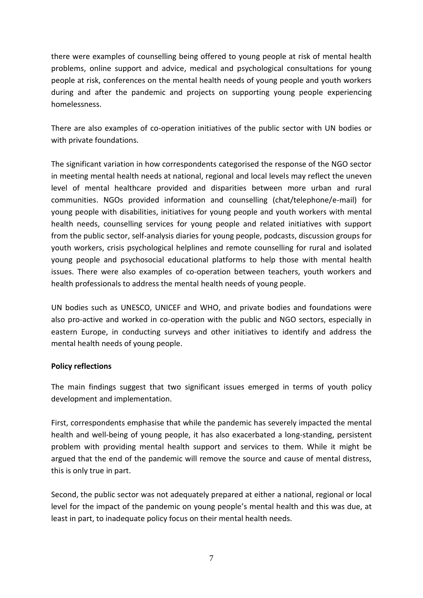there were examples of counselling being offered to young people at risk of mental health problems, online support and advice, medical and psychological consultations for young people at risk, conferences on the mental health needs of young people and youth workers during and after the pandemic and projects on supporting young people experiencing homelessness.

There are also examples of co-operation initiatives of the public sector with UN bodies or with private foundations.

The significant variation in how correspondents categorised the response of the NGO sector in meeting mental health needs at national, regional and local levels may reflect the uneven level of mental healthcare provided and disparities between more urban and rural communities. NGOs provided information and counselling (chat/telephone/e-mail) for young people with disabilities, initiatives for young people and youth workers with mental health needs, counselling services for young people and related initiatives with support from the public sector, self-analysis diaries for young people, podcasts, discussion groups for youth workers, crisis psychological helplines and remote counselling for rural and isolated young people and psychosocial educational platforms to help those with mental health issues. There were also examples of co-operation between teachers, youth workers and health professionals to address the mental health needs of young people.

UN bodies such as UNESCO, UNICEF and WHO, and private bodies and foundations were also pro-active and worked in co-operation with the public and NGO sectors, especially in eastern Europe, in conducting surveys and other initiatives to identify and address the mental health needs of young people.

## **Policy reflections**

The main findings suggest that two significant issues emerged in terms of youth policy development and implementation.

First, correspondents emphasise that while the pandemic has severely impacted the mental health and well-being of young people, it has also exacerbated a long-standing, persistent problem with providing mental health support and services to them. While it might be argued that the end of the pandemic will remove the source and cause of mental distress, this is only true in part.

Second, the public sector was not adequately prepared at either a national, regional or local level for the impact of the pandemic on young people's mental health and this was due, at least in part, to inadequate policy focus on their mental health needs.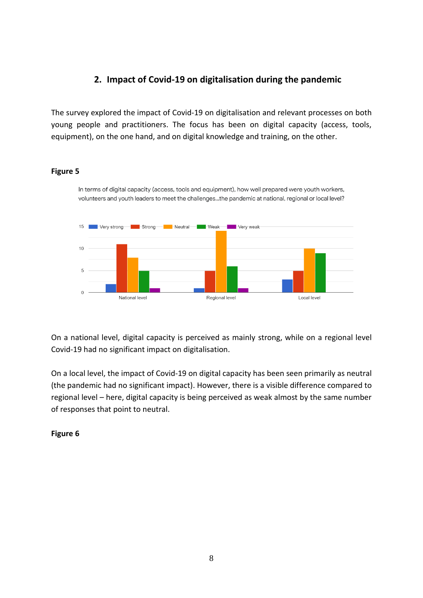## **2. Impact of Covid-19 on digitalisation during the pandemic**

<span id="page-7-0"></span>The survey explored the impact of Covid-19 on digitalisation and relevant processes on both young people and practitioners. The focus has been on digital capacity (access, tools, equipment), on the one hand, and on digital knowledge and training, on the other.

## **Figure 5**

In terms of digital capacity (access, tools and equipment), how well prepared were youth workers, volunteers and youth leaders to meet the challenges...the pandemic at national, regional or local level?



On a national level, digital capacity is perceived as mainly strong, while on a regional level Covid-19 had no significant impact on digitalisation.

On a local level, the impact of Covid-19 on digital capacity has been seen primarily as neutral (the pandemic had no significant impact). However, there is a visible difference compared to regional level – here, digital capacity is being perceived as weak almost by the same number of responses that point to neutral.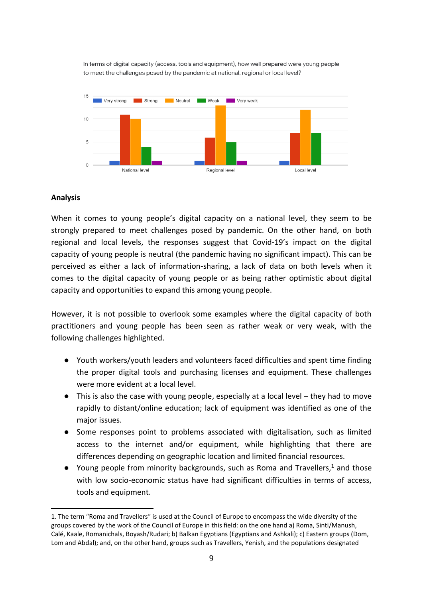In terms of digital capacity (access, tools and equipment), how well prepared were young people to meet the challenges posed by the pandemic at national, regional or local level?



#### **Analysis**

When it comes to young people's digital capacity on a national level, they seem to be strongly prepared to meet challenges posed by pandemic. On the other hand, on both regional and local levels, the responses suggest that Covid-19's impact on the digital capacity of young people is neutral (the pandemic having no significant impact). This can be perceived as either a lack of information-sharing, a lack of data on both levels when it comes to the digital capacity of young people or as being rather optimistic about digital capacity and opportunities to expand this among young people.

However, it is not possible to overlook some examples where the digital capacity of both practitioners and young people has been seen as rather weak or very weak, with the following challenges highlighted.

- Youth workers/youth leaders and volunteers faced difficulties and spent time finding the proper digital tools and purchasing licenses and equipment. These challenges were more evident at a local level.
- This is also the case with young people, especially at a local level they had to move rapidly to distant/online education; lack of equipment was identified as one of the major issues.
- Some responses point to problems associated with digitalisation, such as limited access to the internet and/or equipment, while highlighting that there are differences depending on geographic location and limited financial resources.
- Young people from minority backgrounds, such as Roma and Travellers, $1$  and those with low socio-economic status have had significant difficulties in terms of access, tools and equipment.

<sup>1.</sup> The term "Roma and Travellers" is used at the Council of Europe to encompass the wide diversity of the groups covered by the work of the Council of Europe in this field: on the one hand a) Roma, Sinti/Manush, Calé, Kaale, Romanichals, Boyash/Rudari; b) Balkan Egyptians (Egyptians and Ashkali); c) Eastern groups (Dom, Lom and Abdal); and, on the other hand, groups such as Travellers, Yenish, and the populations designated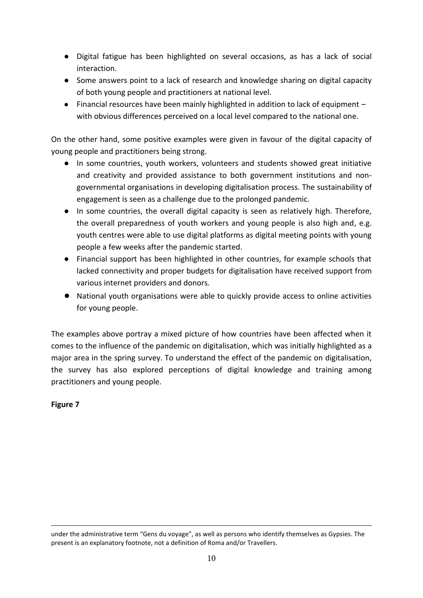- Digital fatigue has been highlighted on several occasions, as has a lack of social interaction.
- Some answers point to a lack of research and knowledge sharing on digital capacity of both young people and practitioners at national level.
- Financial resources have been mainly highlighted in addition to lack of equipment with obvious differences perceived on a local level compared to the national one.

On the other hand, some positive examples were given in favour of the digital capacity of young people and practitioners being strong.

- In some countries, youth workers, volunteers and students showed great initiative and creativity and provided assistance to both government institutions and nongovernmental organisations in developing digitalisation process. The sustainability of engagement is seen as a challenge due to the prolonged pandemic.
- In some countries, the overall digital capacity is seen as relatively high. Therefore, the overall preparedness of youth workers and young people is also high and, e.g. youth centres were able to use digital platforms as digital meeting points with young people a few weeks after the pandemic started.
- Financial support has been highlighted in other countries, for example schools that lacked connectivity and proper budgets for digitalisation have received support from various internet providers and donors.
- National youth organisations were able to quickly provide access to online activities for young people.

The examples above portray a mixed picture of how countries have been affected when it comes to the influence of the pandemic on digitalisation, which was initially highlighted as a major area in the spring survey. To understand the effect of the pandemic on digitalisation, the survey has also explored perceptions of digital knowledge and training among practitioners and young people.

under the administrative term "Gens du voyage", as well as persons who identify themselves as Gypsies. The present is an explanatory footnote, not a definition of Roma and/or Travellers.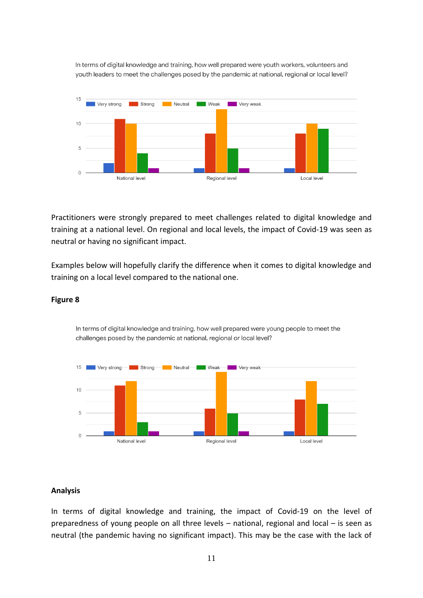In terms of digital knowledge and training, how well prepared were youth workers, volunteers and youth leaders to meet the challenges posed by the pandemic at national, regional or local level?



Practitioners were strongly prepared to meet challenges related to digital knowledge and training at a national level. On regional and local levels, the impact of Covid-19 was seen as neutral or having no significant impact.

Examples below will hopefully clarify the difference when it comes to digital knowledge and training on a local level compared to the national one.

In terms of digital knowledge and training, how well prepared were young people to meet the

challenges posed by the pandemic at national, regional or local level?



#### **Figure 8**

#### **Analysis**

In terms of digital knowledge and training, the impact of Covid-19 on the level of preparedness of young people on all three levels – national, regional and local – is seen as neutral (the pandemic having no significant impact). This may be the case with the lack of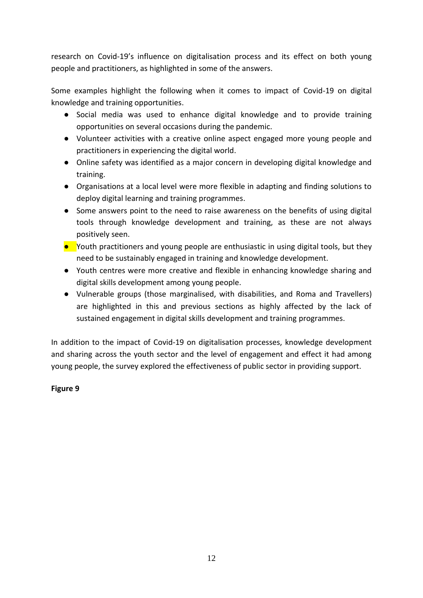research on Covid-19's influence on digitalisation process and its effect on both young people and practitioners, as highlighted in some of the answers.

Some examples highlight the following when it comes to impact of Covid-19 on digital knowledge and training opportunities.

- Social media was used to enhance digital knowledge and to provide training opportunities on several occasions during the pandemic.
- Volunteer activities with a creative online aspect engaged more young people and practitioners in experiencing the digital world.
- Online safety was identified as a major concern in developing digital knowledge and training.
- Organisations at a local level were more flexible in adapting and finding solutions to deploy digital learning and training programmes.
- Some answers point to the need to raise awareness on the benefits of using digital tools through knowledge development and training, as these are not always positively seen.
- $\bullet$  Youth practitioners and young people are enthusiastic in using digital tools, but they need to be sustainably engaged in training and knowledge development.
- Youth centres were more creative and flexible in enhancing knowledge sharing and digital skills development among young people.
- Vulnerable groups (those marginalised, with disabilities, and Roma and Travellers) are highlighted in this and previous sections as highly affected by the lack of sustained engagement in digital skills development and training programmes.

In addition to the impact of Covid-19 on digitalisation processes, knowledge development and sharing across the youth sector and the level of engagement and effect it had among young people, the survey explored the effectiveness of public sector in providing support.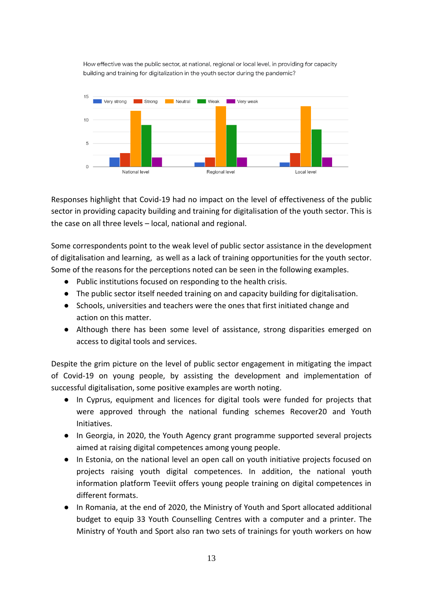How effective was the public sector, at national, regional or local level, in providing for capacity building and training for digitalization in the youth sector during the pandemic?



Responses highlight that Covid-19 had no impact on the level of effectiveness of the public sector in providing capacity building and training for digitalisation of the youth sector. This is the case on all three levels – local, national and regional.

Some correspondents point to the weak level of public sector assistance in the development of digitalisation and learning, as well as a lack of training opportunities for the youth sector. Some of the reasons for the perceptions noted can be seen in the following examples.

- Public institutions focused on responding to the health crisis.
- The public sector itself needed training on and capacity building for digitalisation.
- Schools, universities and teachers were the ones that first initiated change and action on this matter.
- Although there has been some level of assistance, strong disparities emerged on access to digital tools and services.

Despite the grim picture on the level of public sector engagement in mitigating the impact of Covid-19 on young people, by assisting the development and implementation of successful digitalisation, some positive examples are worth noting.

- In Cyprus, equipment and licences for digital tools were funded for projects that were approved through the national funding schemes Recover20 and Youth Initiatives.
- In Georgia, in 2020, the Youth Agency grant programme supported several projects aimed at raising digital competences among young people.
- In Estonia, on the national level an open call on youth initiative projects focused on projects raising youth digital competences. In addition, the national youth information platform Teeviit offers young people training on digital competences in different formats.
- In Romania, at the end of 2020, the Ministry of Youth and Sport allocated additional budget to equip 33 Youth Counselling Centres with a computer and a printer. The Ministry of Youth and Sport also ran two sets of trainings for youth workers on how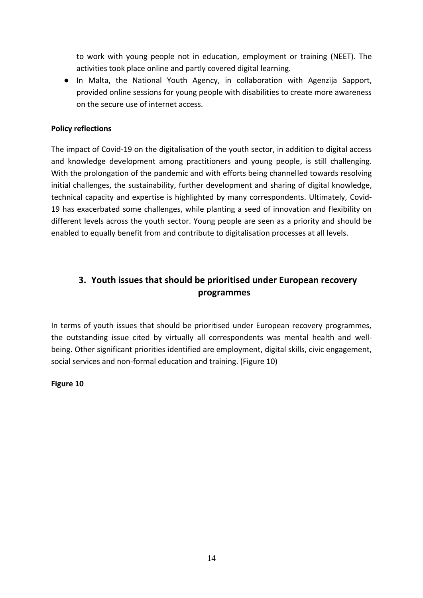to work with young people not in education, employment or training (NEET). The activities took place online and partly covered digital learning.

● In Malta, the National Youth Agency, in collaboration with Agenzija Sapport, provided online sessions for young people with disabilities to create more awareness on the secure use of internet access.

## **Policy reflections**

The impact of Covid-19 on the digitalisation of the youth sector, in addition to digital access and knowledge development among practitioners and young people, is still challenging. With the prolongation of the pandemic and with efforts being channelled towards resolving initial challenges, the sustainability, further development and sharing of digital knowledge, technical capacity and expertise is highlighted by many correspondents. Ultimately, Covid-19 has exacerbated some challenges, while planting a seed of innovation and flexibility on different levels across the youth sector. Young people are seen as a priority and should be enabled to equally benefit from and contribute to digitalisation processes at all levels.

## <span id="page-13-0"></span>**3. Youth issues that should be prioritised under European recovery programmes**

In terms of youth issues that should be prioritised under European recovery programmes, the outstanding issue cited by virtually all correspondents was mental health and wellbeing. Other significant priorities identified are employment, digital skills, civic engagement, social services and non-formal education and training. (Figure 10)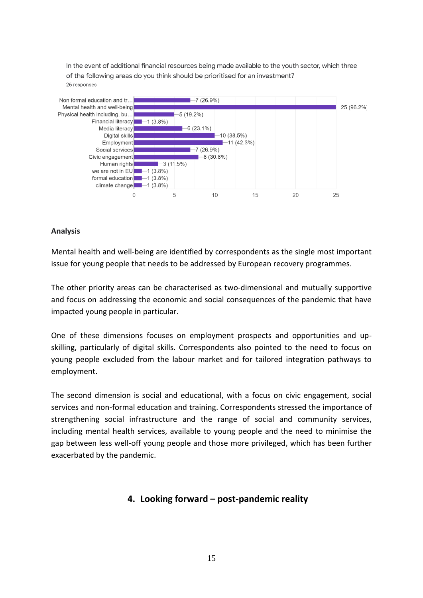In the event of additional financial resources being made available to the youth sector, which three of the following areas do you think should be prioritised for an investment? 26 responses



## **Analysis**

Mental health and well-being are identified by correspondents as the single most important issue for young people that needs to be addressed by European recovery programmes.

The other priority areas can be characterised as two-dimensional and mutually supportive and focus on addressing the economic and social consequences of the pandemic that have impacted young people in particular.

One of these dimensions focuses on employment prospects and opportunities and upskilling, particularly of digital skills. Correspondents also pointed to the need to focus on young people excluded from the labour market and for tailored integration pathways to employment.

The second dimension is social and educational, with a focus on civic engagement, social services and non-formal education and training. Correspondents stressed the importance of strengthening social infrastructure and the range of social and community services, including mental health services, available to young people and the need to minimise the gap between less well-off young people and those more privileged, which has been further exacerbated by the pandemic.

## <span id="page-14-0"></span>**4. Looking forward – post-pandemic reality**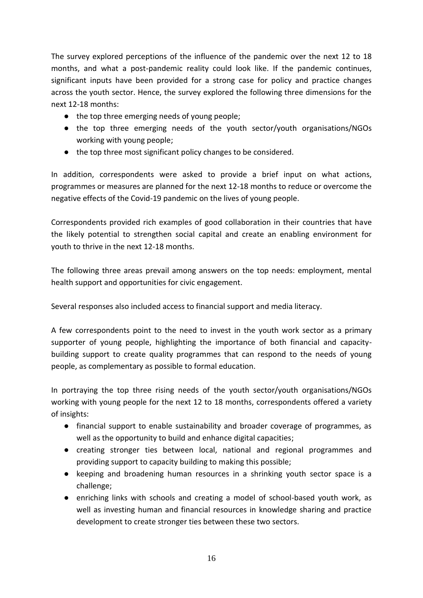The survey explored perceptions of the influence of the pandemic over the next 12 to 18 months, and what a post-pandemic reality could look like. If the pandemic continues, significant inputs have been provided for a strong case for policy and practice changes across the youth sector. Hence, the survey explored the following three dimensions for the next 12-18 months:

- the top three emerging needs of young people;
- the top three emerging needs of the youth sector/youth organisations/NGOs working with young people;
- the top three most significant policy changes to be considered.

In addition, correspondents were asked to provide a brief input on what actions, programmes or measures are planned for the next 12-18 months to reduce or overcome the negative effects of the Covid-19 pandemic on the lives of young people.

Correspondents provided rich examples of good collaboration in their countries that have the likely potential to strengthen social capital and create an enabling environment for youth to thrive in the next 12-18 months.

The following three areas prevail among answers on the top needs: employment, mental health support and opportunities for civic engagement.

Several responses also included access to financial support and media literacy.

A few correspondents point to the need to invest in the youth work sector as a primary supporter of young people, highlighting the importance of both financial and capacitybuilding support to create quality programmes that can respond to the needs of young people, as complementary as possible to formal education.

In portraying the top three rising needs of the youth sector/youth organisations/NGOs working with young people for the next 12 to 18 months, correspondents offered a variety of insights:

- financial support to enable sustainability and broader coverage of programmes, as well as the opportunity to build and enhance digital capacities;
- creating stronger ties between local, national and regional programmes and providing support to capacity building to making this possible;
- keeping and broadening human resources in a shrinking youth sector space is a challenge;
- enriching links with schools and creating a model of school-based youth work, as well as investing human and financial resources in knowledge sharing and practice development to create stronger ties between these two sectors.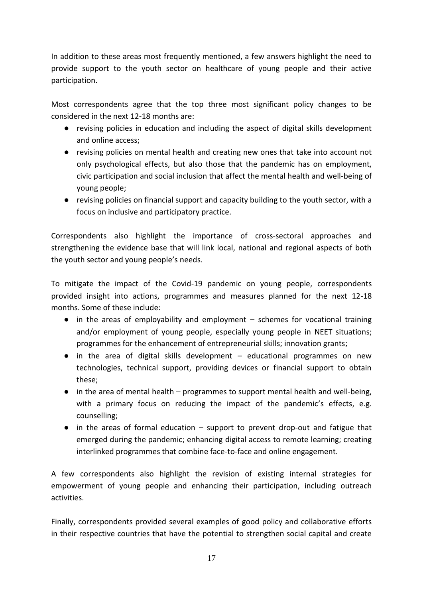In addition to these areas most frequently mentioned, a few answers highlight the need to provide support to the youth sector on healthcare of young people and their active participation.

Most correspondents agree that the top three most significant policy changes to be considered in the next 12-18 months are:

- revising policies in education and including the aspect of digital skills development and online access;
- revising policies on mental health and creating new ones that take into account not only psychological effects, but also those that the pandemic has on employment, civic participation and social inclusion that affect the mental health and well-being of young people;
- revising policies on financial support and capacity building to the youth sector, with a focus on inclusive and participatory practice.

Correspondents also highlight the importance of cross-sectoral approaches and strengthening the evidence base that will link local, national and regional aspects of both the youth sector and young people's needs.

To mitigate the impact of the Covid-19 pandemic on young people, correspondents provided insight into actions, programmes and measures planned for the next 12-18 months. Some of these include:

- in the areas of employability and employment schemes for vocational training and/or employment of young people, especially young people in NEET situations; programmes for the enhancement of entrepreneurial skills; innovation grants;
- in the area of digital skills development educational programmes on new technologies, technical support, providing devices or financial support to obtain these;
- in the area of mental health programmes to support mental health and well-being, with a primary focus on reducing the impact of the pandemic's effects, e.g. counselling;
- in the areas of formal education support to prevent drop-out and fatigue that emerged during the pandemic; enhancing digital access to remote learning; creating interlinked programmes that combine face-to-face and online engagement.

A few correspondents also highlight the revision of existing internal strategies for empowerment of young people and enhancing their participation, including outreach activities.

Finally, correspondents provided several examples of good policy and collaborative efforts in their respective countries that have the potential to strengthen social capital and create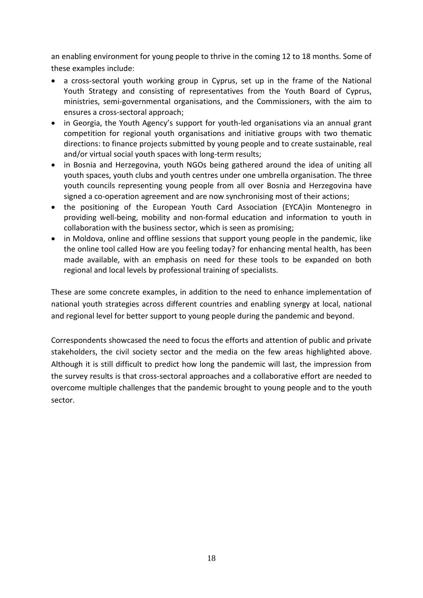an enabling environment for young people to thrive in the coming 12 to 18 months. Some of these examples include:

- a cross-sectoral youth working group in Cyprus, set up in the frame of the National Youth Strategy and consisting of representatives from the Youth Board of Cyprus, ministries, semi-governmental organisations, and the Commissioners, with the aim to ensures a cross-sectoral approach;
- in Georgia, the Youth Agency's support for youth-led organisations via an annual grant competition for regional youth organisations and initiative groups with two thematic directions: to finance projects submitted by young people and to create sustainable, real and/or virtual social youth spaces with long-term results;
- in Bosnia and Herzegovina, youth NGOs being gathered around the idea of uniting all youth spaces, youth clubs and youth centres under one umbrella organisation. The three youth councils representing young people from all over Bosnia and Herzegovina have signed a co-operation agreement and are now synchronising most of their actions;
- the positioning of the European Youth Card Association (EYCA)in Montenegro in providing well-being, mobility and non-formal education and information to youth in collaboration with the business sector, which is seen as promising;
- in Moldova, online and offline sessions that support young people in the pandemic, like the online tool called How are you feeling today? for enhancing mental health, has been made available, with an emphasis on need for these tools to be expanded on both regional and local levels by professional training of specialists.

These are some concrete examples, in addition to the need to enhance implementation of national youth strategies across different countries and enabling synergy at local, national and regional level for better support to young people during the pandemic and beyond.

Correspondents showcased the need to focus the efforts and attention of public and private stakeholders, the civil society sector and the media on the few areas highlighted above. Although it is still difficult to predict how long the pandemic will last, the impression from the survey results is that cross-sectoral approaches and a collaborative effort are needed to overcome multiple challenges that the pandemic brought to young people and to the youth sector.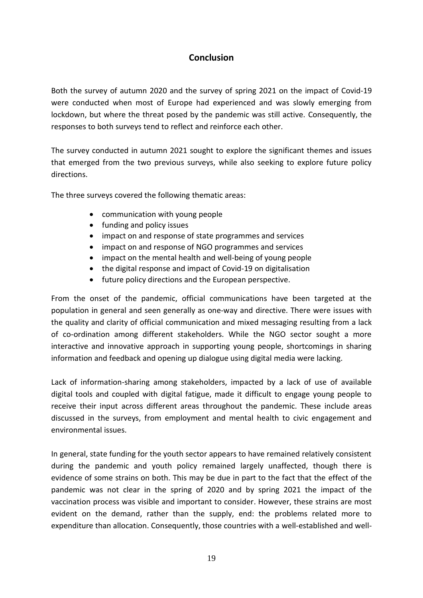## **Conclusion**

<span id="page-18-0"></span>Both the survey of autumn 2020 and the survey of spring 2021 on the impact of Covid-19 were conducted when most of Europe had experienced and was slowly emerging from lockdown, but where the threat posed by the pandemic was still active. Consequently, the responses to both surveys tend to reflect and reinforce each other.

The survey conducted in autumn 2021 sought to explore the significant themes and issues that emerged from the two previous surveys, while also seeking to explore future policy directions.

The three surveys covered the following thematic areas:

- communication with young people
- funding and policy issues
- impact on and response of state programmes and services
- impact on and response of NGO programmes and services
- impact on the mental health and well-being of young people
- the digital response and impact of Covid-19 on digitalisation
- future policy directions and the European perspective.

From the onset of the pandemic, official communications have been targeted at the population in general and seen generally as one-way and directive. There were issues with the quality and clarity of official communication and mixed messaging resulting from a lack of co-ordination among different stakeholders. While the NGO sector sought a more interactive and innovative approach in supporting young people, shortcomings in sharing information and feedback and opening up dialogue using digital media were lacking.

Lack of information-sharing among stakeholders, impacted by a lack of use of available digital tools and coupled with digital fatigue, made it difficult to engage young people to receive their input across different areas throughout the pandemic. These include areas discussed in the surveys, from employment and mental health to civic engagement and environmental issues.

In general, state funding for the youth sector appears to have remained relatively consistent during the pandemic and youth policy remained largely unaffected, though there is evidence of some strains on both. This may be due in part to the fact that the effect of the pandemic was not clear in the spring of 2020 and by spring 2021 the impact of the vaccination process was visible and important to consider. However, these strains are most evident on the demand, rather than the supply, end: the problems related more to expenditure than allocation. Consequently, those countries with a well-established and well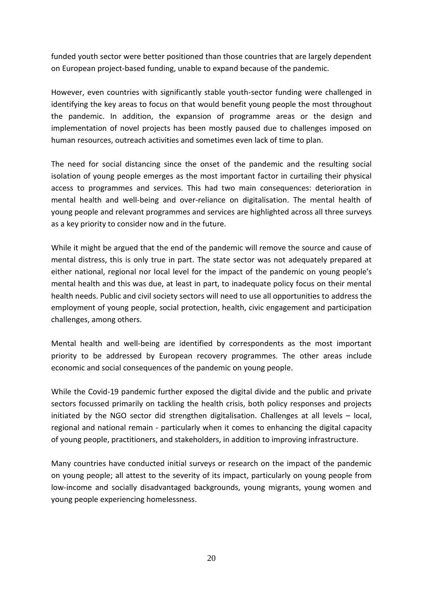funded youth sector were better positioned than those countries that are largely dependent on European project-based funding, unable to expand because of the pandemic.

However, even countries with significantly stable youth-sector funding were challenged in identifying the key areas to focus on that would benefit young people the most throughout the pandemic. In addition, the expansion of programme areas or the design and implementation of novel projects has been mostly paused due to challenges imposed on human resources, outreach activities and sometimes even lack of time to plan.

The need for social distancing since the onset of the pandemic and the resulting social isolation of young people emerges as the most important factor in curtailing their physical access to programmes and services. This had two main consequences: deterioration in mental health and well-being and over-reliance on digitalisation. The mental health of young people and relevant programmes and services are highlighted across all three surveys as a key priority to consider now and in the future.

While it might be argued that the end of the pandemic will remove the source and cause of mental distress, this is only true in part. The state sector was not adequately prepared at either national, regional nor local level for the impact of the pandemic on young people's mental health and this was due, at least in part, to inadequate policy focus on their mental health needs. Public and civil society sectors will need to use all opportunities to address the employment of young people, social protection, health, civic engagement and participation challenges, among others.

Mental health and well-being are identified by correspondents as the most important priority to be addressed by European recovery programmes. The other areas include economic and social consequences of the pandemic on young people.

While the Covid-19 pandemic further exposed the digital divide and the public and private sectors focussed primarily on tackling the health crisis, both policy responses and projects initiated by the NGO sector did strengthen digitalisation. Challenges at all levels – local, regional and national remain - particularly when it comes to enhancing the digital capacity of young people, practitioners, and stakeholders, in addition to improving infrastructure.

Many countries have conducted initial surveys or research on the impact of the pandemic on young people; all attest to the severity of its impact, particularly on young people from low-income and socially disadvantaged backgrounds, young migrants, young women and young people experiencing homelessness.